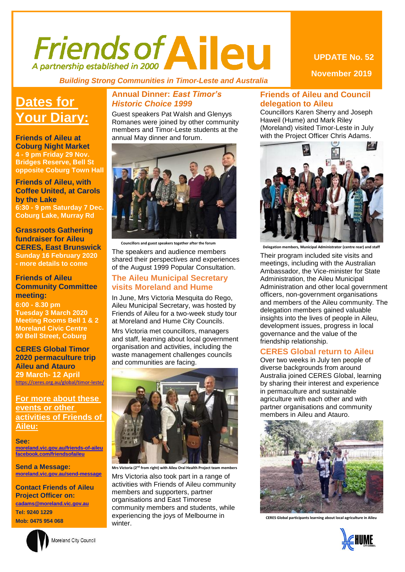# Friends of Aileu

 *Building Strong Communities in Timor-Leste and Australia*

### **Dates for Your Diary:**

**Friends of Aileu at Coburg Night Market 4 - 9 pm Friday 29 Nov. Bridges Reserve, Bell St opposite Coburg Town Hall**

**Friends of Aileu, with Coffee United, at Carols by the Lake 6:30 - 9 pm Saturday 7 Dec. Coburg Lake, Murray Rd**

**Grassroots Gathering fundraiser for Aileu CERES, East Brunswick Sunday 16 February 2020 - more details to come**

#### **Friends of Aileu Community Committee meeting:**

**6:00 - 8.30 pm Tuesday 3 March 2020 Meeting Rooms Bell 1 & 2 Moreland Civic Centre 90 Bell Street, Coburg**

#### **CERES Global Timor 2020 permaculture trip Aileu and Atauro 29 March- 12 April** <https://ceres.org.au/global/timor-leste/>

**For more about these events or other activities of Friends of Aileu:**

**See: [moreland.vic.gov.au/friends-of-aileu](http://www.moreland.vic.gov.au/friends-of-aileu) [facebook.com/friendsofaileu](https://www.facebook.com/friendsofaileu)**

**Send a Message: [moreland.vic.gov.au/send-message](https://www.moreland.vic.gov.au/send-message)**

**Contact Friends of Aileu Project Officer on: [cadams@moreland.vic.gov.au](mailto:cadams@moreland.vic.gov.au) Tel: 9240 1229**

**Mob: 0475 954 068**



#### **Annual Dinner:** *East Timor's Historic Choice 1999*

Guest speakers Pat Walsh and Glenyys Romanes were joined by other community members and Timor-Leste students at the annual May dinner and forum.



 **Councillors and guest speakers together after the forum**

The speakers and audience members shared their perspectives and experiences of the August 1999 Popular Consultation.

#### **The Aileu Municipal Secretary visits Moreland and Hume**

In June, Mrs Victoria Mesquita do Rego, Aileu Municipal Secretary, was hosted by Friends of Aileu for a two-week study tour at Moreland and Hume City Councils.

Mrs Victoria met councillors, managers and staff, learning about local government organisation and activities, including the waste management challenges councils and communities are facing.



**Mrs Victoria (2<sup>nd</sup> from right) with Aileu Oral Health Project team me** 

Mrs Victoria also took part in a range of activities with Friends of Aileu community members and supporters, partner organisations and East Timorese community members and students, while experiencing the joys of Melbourne in winter.

#### **UPDATE No. 52**

**November 2019**

#### **Friends of Aileu and Council delegation to Aileu**

Councillors Karen Sherry and Joseph Haweil (Hume) and Mark Riley (Moreland) visited Timor-Leste in July with the Project Officer Chris Adams.



 **members, Municipal Administrator (centre rear) and staff** 

Their program included site visits and meetings, including with the Australian Ambassador, the Vice-minister for State Administration, the Aileu Municipal Administration and other local government officers, non-government organisations and members of the Aileu community. The delegation members gained valuable insights into the lives of people in Aileu, development issues, progress in local governance and the value of the friendship relationship.

#### **CERES Global return to Aileu**

Over two weeks in July ten people of diverse backgrounds from around Australia joined CERES Global, learning by sharing their interest and experience in permaculture and sustainable agriculture with each other and with partner organisations and community members in Aileu and Atauro.



**CERES Global participants learning about local agriculture in Aileu**